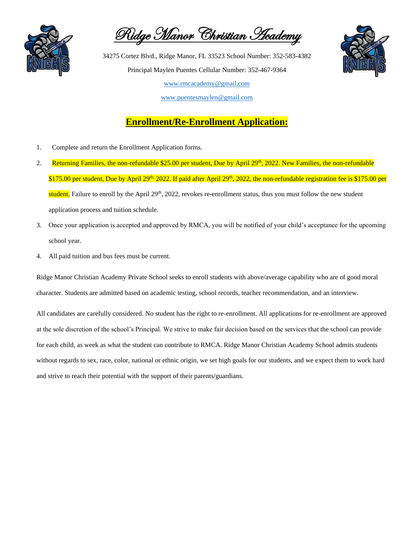

Ridge Manor Christian Academy



### **Enrollment/Re-Enrollment Application:**

- 1. Complete and return the Enrollment Application forms.
- 2. Returning Families, the non-refundable \$25.00 per student, Due by April 29<sup>th</sup>, 2022. New Families, the non-refundable \$175.00 per student, Due by April 29<sup>th,</sup> 2022. If paid after April 29<sup>th</sup>, 2022, the non-refundable registration fee is \$175.00 per student. Failure to enroll by the April  $29<sup>th</sup>$ , 2022, revokes re-enrollment status, thus you must follow the new student application process and tuition schedule.
- 3. Once your application is accepted and approved by RMCA, you will be notified of your child's acceptance for the upcoming school year.
- 4. All paid tuition and bus fees must be current.

Ridge Manor Christian Academy Private School seeks to enroll students with above/average capability who are of good moral character. Students are admitted based on academic testing, school records, teacher recommendation, and an interview.

All candidates are carefully considered. No student has the right to re-enrollment. All applications for re-enrollment are approved at the sole discretion of the school's Principal. We strive to make fair decision based on the services that the school can provide for each child, as week as what the student can contribute to RMCA. Ridge Manor Christian Academy School admits students without regards to sex, race, color, national or ethnic origin, we set high goals for our students, and we expect them to work hard and strive to reach their potential with the support of their parents/guardians.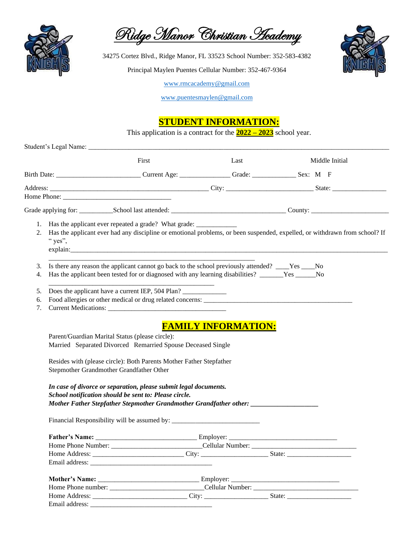

Ridge Manor Christian Heademy

34275 Cortez Blvd., Ridge Manor, FL 33523 School Number: 352-583-4382

Principal Maylen Puentes Cellular Number: 352-467-9364



[www.rmcacademy@gmail.com](http://www.rmcacademy@gmail.com)

[www.puentesmaylen@gmail.com](http://www.puentesmaylen@gmail.com)

### **STUDENT INFORMATION:**

This application is a contract for the **2022 – 2023** school year.

|    |                                                                                                                                                                                                                                   | First                                                                                                     | Last | Middle Initial                                                                                                             |  |  |  |
|----|-----------------------------------------------------------------------------------------------------------------------------------------------------------------------------------------------------------------------------------|-----------------------------------------------------------------------------------------------------------|------|----------------------------------------------------------------------------------------------------------------------------|--|--|--|
|    |                                                                                                                                                                                                                                   | Birth Date: ______________________________Current Age: _________________Grade: __________________Sex: M F |      |                                                                                                                            |  |  |  |
|    |                                                                                                                                                                                                                                   |                                                                                                           |      |                                                                                                                            |  |  |  |
|    |                                                                                                                                                                                                                                   |                                                                                                           |      |                                                                                                                            |  |  |  |
|    |                                                                                                                                                                                                                                   |                                                                                                           |      |                                                                                                                            |  |  |  |
| 2. | " yes",                                                                                                                                                                                                                           | 1. Has the applicant ever repeated a grade? What grade: ________________________                          |      | Has the applicant ever had any discipline or emotional problems, or been suspended, expelled, or withdrawn from school? If |  |  |  |
| 3. |                                                                                                                                                                                                                                   | Is there any reason the applicant cannot go back to the school previously attended? ____Yes ___No         |      |                                                                                                                            |  |  |  |
| 4. |                                                                                                                                                                                                                                   | Has the applicant been tested for or diagnosed with any learning disabilities? ______Yes _____No          |      |                                                                                                                            |  |  |  |
| 5. |                                                                                                                                                                                                                                   | Does the applicant have a current IEP, 504 Plan?                                                          |      |                                                                                                                            |  |  |  |
| 6. |                                                                                                                                                                                                                                   |                                                                                                           |      |                                                                                                                            |  |  |  |
| 7. |                                                                                                                                                                                                                                   |                                                                                                           |      |                                                                                                                            |  |  |  |
|    | Parent/Guardian Marital Status (please circle):<br>Married Separated Divorced Remarried Spouse Deceased Single<br>Resides with (please circle): Both Parents Mother Father Stepfather<br>Stepmother Grandmother Grandfather Other |                                                                                                           |      |                                                                                                                            |  |  |  |
|    | In case of divorce or separation, please submit legal documents.<br>School notification should be sent to: Please circle.<br>Mother Father Stepfather Stepmother Grandmother Grandfather other: ______________                    |                                                                                                           |      |                                                                                                                            |  |  |  |
|    |                                                                                                                                                                                                                                   |                                                                                                           |      |                                                                                                                            |  |  |  |
|    |                                                                                                                                                                                                                                   |                                                                                                           |      |                                                                                                                            |  |  |  |
|    |                                                                                                                                                                                                                                   |                                                                                                           |      |                                                                                                                            |  |  |  |
|    |                                                                                                                                                                                                                                   |                                                                                                           |      |                                                                                                                            |  |  |  |
|    |                                                                                                                                                                                                                                   |                                                                                                           |      |                                                                                                                            |  |  |  |
|    |                                                                                                                                                                                                                                   |                                                                                                           |      |                                                                                                                            |  |  |  |
|    |                                                                                                                                                                                                                                   |                                                                                                           |      |                                                                                                                            |  |  |  |
|    |                                                                                                                                                                                                                                   |                                                                                                           |      |                                                                                                                            |  |  |  |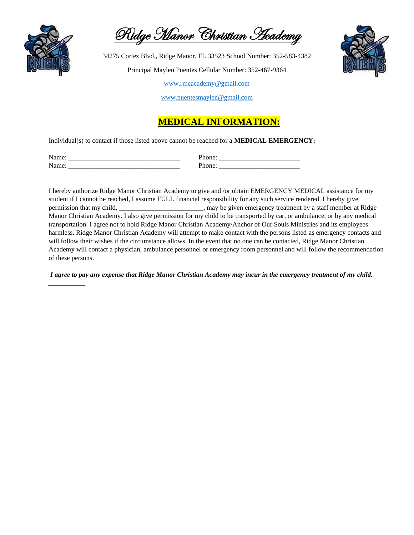

*\_\_\_\_\_\_\_\_\_\_\_*

Ridge Manor Christian Heademy

34275 Cortez Blvd., Ridge Manor, FL 33523 School Number: 352-583-4382 Principal Maylen Puentes Cellular Number: 352-467-9364



[www.rmcacademy@gmail.com](http://www.rmcacademy@gmail.com)

[www.puentesmaylen@gmail.com](http://www.puentesmaylen@gmail.com)

### **MEDICAL INFORMATION:**

Individual(s) to contact if those listed above cannot be reached for a **MEDICAL EMERGENCY:**

| $\mathbf{A}$<br>______________________<br>_______________ | ________<br>_____<br>________________ |
|-----------------------------------------------------------|---------------------------------------|
| $\mathbf{A}$                                              | __________                            |
|                                                           | ___                                   |
| ___________                                               | ________                              |

I hereby authorize Ridge Manor Christian Academy to give and /or obtain EMERGENCY MEDICAL assistance for my student if I cannot be reached, I assume FULL financial responsibility for any such service rendered. I hereby give permission that my child, \_\_\_\_\_\_\_\_\_\_\_\_\_\_\_\_\_\_\_\_\_\_\_\_\_, may be given emergency treatment by a staff member at Ridge Manor Christian Academy. I also give permission for my child to be transported by car, or ambulance, or by any medical transportation. I agree not to hold Ridge Manor Christian Academy/Anchor of Our Souls Ministries and its employees harmless. Ridge Manor Christian Academy will attempt to make contact with the persons listed as emergency contacts and will follow their wishes if the circumstance allows. In the event that no one can be contacted, Ridge Manor Christian Academy will contact a physician, ambulance personnel or emergency room personnel and will follow the recommendation of these persons.

*I agree to pay any expense that Ridge Manor Christian Academy may incur in the emergency treatment of my child.*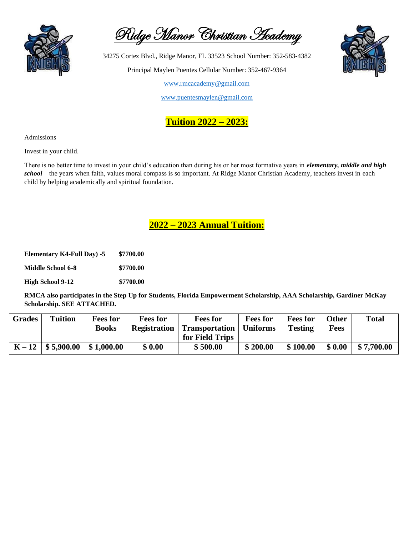

Ridge Manor Christian Heademy

34275 Cortez Blvd., Ridge Manor, FL 33523 School Number: 352-583-4382 Principal Maylen Puentes Cellular Number: 352-467-9364

[www.rmcacademy@gmail.com](http://www.rmcacademy@gmail.com)

[www.puentesmaylen@gmail.com](http://www.puentesmaylen@gmail.com)



Admissions

Invest in your child.

There is no better time to invest in your child's education than during his or her most formative years in *elementary, middle and high school* – the years when faith, values moral compass is so important. At Ridge Manor Christian Academy, teachers invest in each child by helping academically and spiritual foundation.

### **2022 – 2023 Annual Tuition:**

| <b>Elementary K4-Full Day) -5</b> | \$7700.00 |
|-----------------------------------|-----------|
| <b>Middle School 6-8</b>          | \$7700.00 |
| <b>High School 9-12</b>           | \$7700.00 |

**RMCA also participates in the Step Up for Students, Florida Empowerment Scholarship, AAA Scholarship, Gardiner McKay Scholarship. SEE ATTACHED.**

| <b>Grades</b> | <b>Tuition</b>      | <b>Fees for</b> | <b>Fees for</b>     | <b>Fees for</b>           | <b>Fees for</b> | <b>Fees for</b> | <b>Other</b> | <b>Total</b> |
|---------------|---------------------|-----------------|---------------------|---------------------------|-----------------|-----------------|--------------|--------------|
|               |                     | Books           | <b>Registration</b> | Transportation   Uniforms |                 | <b>Testing</b>  | <b>Fees</b>  |              |
|               |                     |                 |                     | for Field Trips           |                 |                 |              |              |
|               | $K-12$   \$5,900.00 | \$1,000.00      | \$0.00              | \$500.00                  | \$200.00        | \$100.00        | \$0.00       | \$7,700.00   |

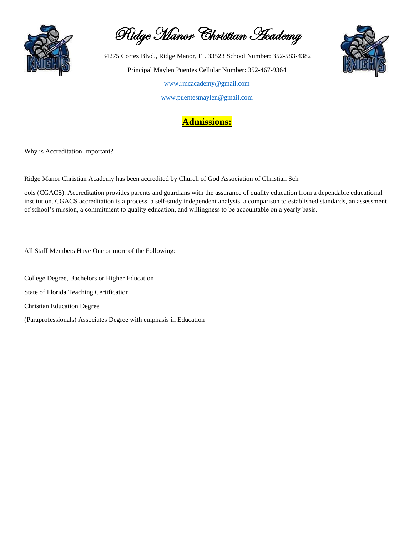

Ridge Manor Christian Academy

[www.puentesmaylen@gmail.com](http://www.puentesmaylen@gmail.com)



Why is Accreditation Important?

Ridge Manor Christian Academy has been accredited by Church of God Association of Christian Sch

ools (CGACS). Accreditation provides parents and guardians with the assurance of quality education from a dependable educational institution. CGACS accreditation is a process, a self-study independent analysis, a comparison to established standards, an assessment of school's mission, a commitment to quality education, and willingness to be accountable on a yearly basis.

All Staff Members Have One or more of the Following:

College Degree, Bachelors or Higher Education

State of Florida Teaching Certification

Christian Education Degree

(Paraprofessionals) Associates Degree with emphasis in Education

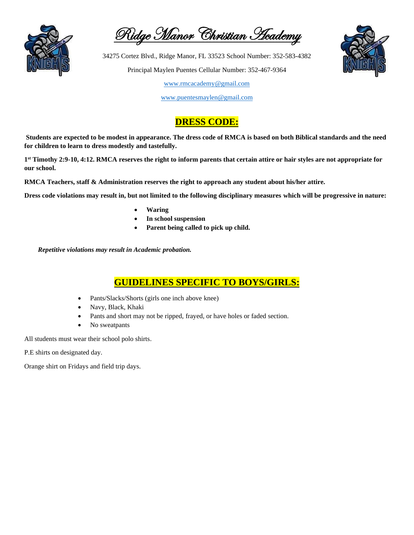

Ridge Manor Christian Heademy

34275 Cortez Blvd., Ridge Manor, FL 33523 School Number: 352-583-4382 Principal Maylen Puentes Cellular Number: 352-467-9364

[www.rmcacademy@gmail.com](http://www.rmcacademy@gmail.com)

[www.puentesmaylen@gmail.com](http://www.puentesmaylen@gmail.com)

## **DRESS CODE:**

**Students are expected to be modest in appearance. The dress code of RMCA is based on both Biblical standards and the need for children to learn to dress modestly and tastefully.**

**1 st Timothy 2:9-10, 4:12. RMCA reserves the right to inform parents that certain attire or hair styles are not appropriate for our school.**

**RMCA Teachers, staff & Administration reserves the right to approach any student about his/her attire.**

**Dress code violations may result in, but not limited to the following disciplinary measures which will be progressive in nature:**

- **Waring**
- **In school suspension**
- **Parent being called to pick up child.**

 *Repetitive violations may result in Academic probation.*

### **GUIDELINES SPECIFIC TO BOYS/GIRLS:**

- Pants/Slacks/Shorts (girls one inch above knee)
- Navy, Black, Khaki
- Pants and short may not be ripped, frayed, or have holes or faded section.
- No sweatpants

All students must wear their school polo shirts.

P.E shirts on designated day.

Orange shirt on Fridays and field trip days.

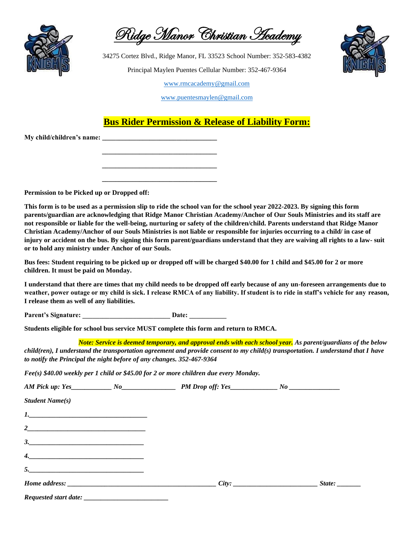

Ridge Manor Christian Heademy

[www.puentesmaylen@gmail.com](http://www.puentesmaylen@gmail.com)

## **Bus Rider Permission & Release of Liability Form:**

**My child/children's name: \_\_\_\_\_\_\_\_\_\_\_\_\_\_\_\_\_\_\_\_\_\_\_\_\_\_\_\_\_\_\_\_\_\_**

**Permission to be Picked up or Dropped off:**

**This form is to be used as a permission slip to ride the school van for the school year 2022-2023. By signing this form parents/guardian are acknowledging that Ridge Manor Christian Academy/Anchor of Our Souls Ministries and its staff are not responsible or liable for the well-being, nurturing or safety of the children/child. Parents understand that Ridge Manor Christian Academy/Anchor of our Souls Ministries is not liable or responsible for injuries occurring to a child/ in case of injury or accident on the bus. By signing this form parent/guardians understand that they are waiving all rights to a law- suit or to hold any ministry under Anchor of our Souls.**

**Bus fees: Student requiring to be picked up or dropped off will be charged \$40.00 for 1 child and \$45.00 for 2 or more children. It must be paid on Monday.**

**I understand that there are times that my child needs to be dropped off early because of any un-foreseen arrangements due to weather, power outage or my child is sick. I release RMCA of any liability. If student is to ride in staff's vehicle for any reason, I release them as well of any liabilities.**

Parent's Signature: **Date: Date: Date: Date: Date: Date: Date: Date: Date: Date: Date: Date: Date: Date: Date: Date: Date: Date: Date: Date: Date: Date: Date: Date: Date: D** 

 **\_\_\_\_\_\_\_\_\_\_\_\_\_\_\_\_\_\_\_\_\_\_\_\_\_\_\_\_\_\_\_\_\_\_**

 **\_\_\_\_\_\_\_\_\_\_\_\_\_\_\_\_\_\_\_\_\_\_\_\_\_\_\_\_\_\_\_\_\_\_**

 **\_\_\_\_\_\_\_\_\_\_\_\_\_\_\_\_\_\_\_\_\_\_\_\_\_\_\_\_\_\_\_\_\_\_**

**Students eligible for school bus service MUST complete this form and return to RMCA.**

 *Note: Service is deemed temporary, and approval ends with each school year. As parent/guardians of the below child(ren), I understand the transportation agreement and provide consent to my child(s) transportation. I understand that I have to notify the Principal the night before of any changes. 352-467-9364*

*Fee(s) \$40.00 weekly per 1 child or \$45.00 for 2 or more children due every Monday.* 

| Student Name(s)                                                                                                                                                                                                                                                                                                                                                                                                          |  |        |
|--------------------------------------------------------------------------------------------------------------------------------------------------------------------------------------------------------------------------------------------------------------------------------------------------------------------------------------------------------------------------------------------------------------------------|--|--------|
| $\begin{tabular}{ c c c c } \hline $l$. & \multicolumn{3}{ c }{p} \multicolumn{3}{ c }{p} \multicolumn{3}{ c }{p} \multicolumn{3}{ c }{p} \multicolumn{3}{ c }{p} \multicolumn{3}{ c }{p} \multicolumn{3}{ c }{p} \multicolumn{3}{ c }{p} \multicolumn{3}{ c }{p} \multicolumn{3}{ c }{p} \multicolumn{3}{ c }{p} \multicolumn{3}{ c }{p} \multicolumn{3}{ c }{p} \multicolumn{3}{ c }{p} \multicolumn{3}{ c }{p} \mult$ |  |        |
| $2$ and $\overline{\phantom{a}2}$ and $\overline{\phantom{a}2}$ and $\overline{\phantom{a}2}$ and $\overline{\phantom{a}2}$ and $\overline{\phantom{a}2}$ and $\overline{\phantom{a}2}$ and $\overline{\phantom{a}2}$ and $\overline{\phantom{a}2}$ and $\overline{\phantom{a}2}$ and $\overline{\phantom{a}2}$ and $\overline{\phantom{a}2}$ and $\overline{\phantom{a}2}$ a                                            |  |        |
| $\begin{array}{c} \hline \end{array}$                                                                                                                                                                                                                                                                                                                                                                                    |  |        |
| $\overline{\mathcal{A}}$ . And the set of the set of the set of the set of the set of the set of the set of the set of the set of the set of the set of the set of the set of the set of the set of the set of the set of the set of the se                                                                                                                                                                              |  |        |
| $\begin{array}{c c c c c} \hline \text{5.} & \text{5.} & \text{5.} & \text{5.} \\ \hline \end{array}$                                                                                                                                                                                                                                                                                                                    |  |        |
|                                                                                                                                                                                                                                                                                                                                                                                                                          |  | State: |
|                                                                                                                                                                                                                                                                                                                                                                                                                          |  |        |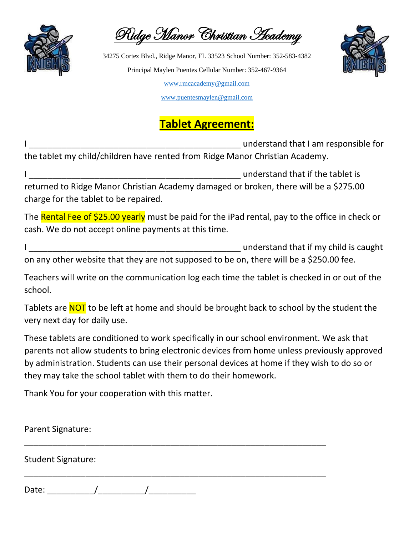

Ridge Manor Christian Academy



[www.puentesmaylen@gmail.com](http://www.puentesmaylen@gmail.com)

## **Tablet Agreement:**

I \_\_\_\_\_\_\_\_\_\_\_\_\_\_\_\_\_\_\_\_\_\_\_\_\_\_\_\_\_\_\_\_\_\_\_\_\_\_\_\_\_\_\_\_\_ understand that I am responsible for the tablet my child/children have rented from Ridge Manor Christian Academy.

I Letting the standard that if the tablet is returned to Ridge Manor Christian Academy damaged or broken, there will be a \$275.00 charge for the tablet to be repaired.

The Rental Fee of \$25.00 yearly must be paid for the iPad rental, pay to the office in check or cash. We do not accept online payments at this time.

I \_\_\_\_\_\_\_\_\_\_\_\_\_\_\_\_\_\_\_\_\_\_\_\_\_\_\_\_\_\_\_\_\_\_\_\_\_\_\_\_\_\_\_\_\_ understand that if my child is caught on any other website that they are not supposed to be on, there will be a \$250.00 fee.

Teachers will write on the communication log each time the tablet is checked in or out of the school.

Tablets are NOT to be left at home and should be brought back to school by the student the very next day for daily use.

These tablets are conditioned to work specifically in our school environment. We ask that parents not allow students to bring electronic devices from home unless previously approved by administration. Students can use their personal devices at home if they wish to do so or they may take the school tablet with them to do their homework.

Thank You for your cooperation with this matter.

Parent Signature: \_\_\_\_\_\_\_\_\_\_\_\_\_\_\_\_\_\_\_\_\_\_\_\_\_\_\_\_\_\_\_\_\_\_\_\_\_\_\_\_\_\_\_\_\_\_\_\_\_\_\_\_\_\_\_\_\_\_\_\_\_\_\_\_ Student Signature: \_\_\_\_\_\_\_\_\_\_\_\_\_\_\_\_\_\_\_\_\_\_\_\_\_\_\_\_\_\_\_\_\_\_\_\_\_\_\_\_\_\_\_\_\_\_\_\_\_\_\_\_\_\_\_\_\_\_\_\_\_\_\_\_ Date: \_\_\_\_\_\_\_\_\_\_/\_\_\_\_\_\_\_\_\_\_/\_\_\_\_\_\_\_\_\_\_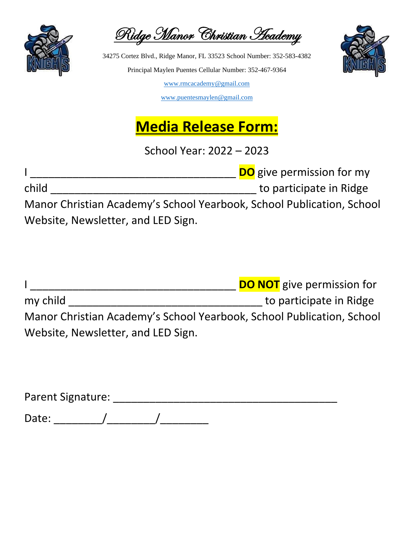

Ridge Manor Christian Academy



[www.puentesmaylen@gmail.com](http://www.puentesmaylen@gmail.com)

# **Media Release Form:**

School Year: 2022 – 2023

I \_\_\_\_\_\_\_\_\_\_\_\_\_\_\_\_\_\_\_\_\_\_\_\_\_\_\_\_\_\_\_\_\_\_ **DO** give permission for my

child \_\_\_\_\_\_\_\_\_\_\_\_\_\_\_\_\_\_\_\_\_\_\_\_\_\_\_\_\_\_\_\_\_\_ to participate in Ridge

Manor Christian Academy's School Yearbook, School Publication, School Website, Newsletter, and LED Sign.

I \_\_\_\_\_\_\_\_\_\_\_\_\_\_\_\_\_\_\_\_\_\_\_\_\_\_\_\_\_\_\_\_\_\_ **DO NOT** give permission for my child \_\_\_\_\_\_\_\_\_\_\_\_\_\_\_\_\_\_\_\_\_\_\_\_\_\_\_\_\_\_\_\_ to participate in Ridge Manor Christian Academy's School Yearbook, School Publication, School Website, Newsletter, and LED Sign.

Parent Signature: \_\_\_\_\_\_\_\_\_\_\_\_\_\_\_\_\_\_\_\_\_\_\_\_\_\_\_\_\_\_\_\_\_\_\_\_\_ Date: \_\_\_\_\_\_\_\_/\_\_\_\_\_\_\_\_/\_\_\_\_\_\_\_\_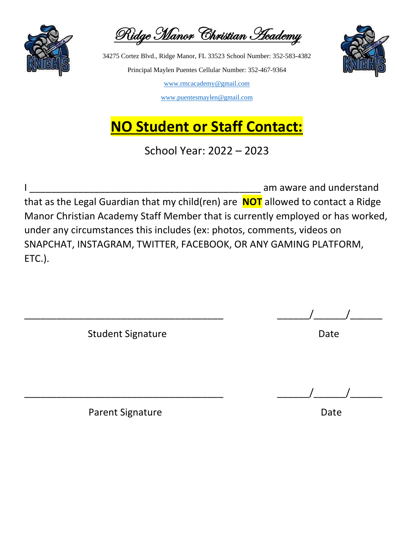

Ridge Manor Christian Academy

[www.puentesmaylen@gmail.com](http://www.puentesmaylen@gmail.com)

# **NO Student or Staff Contact:**

School Year: 2022 – 2023

am aware and understand that as the Legal Guardian that my child(ren) are **NOT** allowed to contact a Ridge Manor Christian Academy Staff Member that is currently employed or has worked, under any circumstances this includes (ex: photos, comments, videos on SNAPCHAT, INSTAGRAM, TWITTER, FACEBOOK, OR ANY GAMING PLATFORM, ETC.).

Student Signature Date

\_\_\_\_\_\_\_\_\_\_\_\_\_\_\_\_\_\_\_\_\_\_\_\_\_\_\_\_\_\_\_\_\_\_\_\_\_ \_\_\_\_\_\_/\_\_\_\_\_\_/\_\_\_\_\_\_

\_\_\_\_\_\_\_\_\_\_\_\_\_\_\_\_\_\_\_\_\_\_\_\_\_\_\_\_\_\_\_\_\_\_\_\_\_ \_\_\_\_\_\_/\_\_\_\_\_\_/\_\_\_\_\_\_

Parent Signature Date Date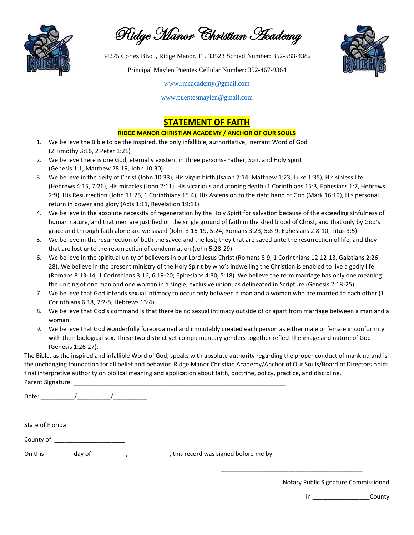

Ridge Manor Christian Academy

34275 Cortez Blvd., Ridge Manor, FL 33523 School Number: 352-583-4382

Principal Maylen Puentes Cellular Number: 352-467-9364



[www.rmcacademy@gmail.com](http://www.rmcacademy@gmail.com)

[www.puentesmaylen@gmail.com](http://www.puentesmaylen@gmail.com)

### **STATEMENT OF FAITH**

#### **RIDGE MANOR CHRISTIAN ACADEMY / ANCHOR OF OUR SOULS**

- 1. We believe the Bible to be the inspired, the only infallible, authoritative, inerrant Word of God (2 Timothy 3:16, 2 Peter 1:21)
- 2. We believe there is one God, eternally existent in three persons- Father, Son, and Holy Spirit (Genesis 1:1, Matthew 28:19, John 10:30)
- 3. We believe in the deity of Christ (John 10:33), His virgin birth (Isaiah 7:14, Matthew 1:23, Luke 1:35), His sinless life (Hebrews 4:15, 7:26), His miracles (John 2:11), His vicarious and atoning death (1 Corinthians 15:3, Ephesians 1:7, Hebrews 2:9), His Resurrection (John 11:25, 1 Corinthians 15:4), His Ascension to the right hand of God (Mark 16:19), His personal return in power and glory (Acts 1:11, Revelation 19:11)
- 4. We believe in the absolute necessity of regeneration by the Holy Spirit for salvation because of the exceeding sinfulness of human nature, and that men are justified on the single ground of faith in the shed blood of Christ, and that only by God's grace and through faith alone are we saved (John 3:16-19, 5:24; Romans 3:23, 5:8-9; Ephesians 2:8-10; Titus 3:5)
- 5. We believe in the resurrection of both the saved and the lost; they that are saved unto the resurrection of life, and they that are lost unto the resurrection of condemnation (John 5:28-29)
- 6. We believe in the spiritual unity of believers in our Lord Jesus Christ (Romans 8:9, 1 Corinthians 12:12-13, Galatians 2:26- 28). We believe in the present ministry of the Holy Spirit by who's indwelling the Christian is enabled to live a godly life (Romans 8:13-14; 1 Corinthians 3:16, 6:19-20; Ephesians 4:30, 5:18). We believe the term marriage has only one meaning: the uniting of one man and one woman in a single, exclusive union, as delineated in Scripture (Genesis 2:18-25).
- 7. We believe that God intends sexual intimacy to occur only between a man and a woman who are married to each other (1 Corinthians 6:18, 7:2-5; Hebrews 13:4).
- 8. We believe that God's command is that there be no sexual intimacy outside of or apart from marriage between a man and a woman.
- 9. We believe that God wonderfully foreordained and immutably created each person as either male or female in conformity with their biological sex. These two distinct yet complementary genders together reflect the image and nature of God (Genesis 1:26-27).

The Bible, as the inspired and infallible Word of God, speaks with absolute authority regarding the proper conduct of mankind and is the unchanging foundation for all belief and behavior. Ridge Manor Christian Academy/Anchor of Our Souls/Board of Directors holds final interpretive authority on biblical meaning and application about faith, doctrine, policy, practice, and discipline. Parent Signature: \_\_\_\_\_\_\_\_\_\_\_\_\_\_\_\_\_\_\_\_\_\_\_\_\_\_\_\_\_\_\_\_\_\_\_\_\_\_\_\_\_\_\_\_\_\_\_\_\_\_\_\_\_\_\_\_\_\_\_\_\_\_\_

Date: \_\_\_\_\_\_\_\_\_\_/\_\_\_\_\_\_\_\_\_\_/\_\_\_\_\_\_\_\_\_\_

State of Florida

County of: \_\_\_\_\_\_\_\_\_\_\_\_\_\_\_\_\_\_\_\_\_

On this \_\_\_\_\_\_\_\_ day of \_\_\_\_\_\_\_\_\_, \_\_\_\_\_\_\_\_\_\_\_\_, this record was signed before me by \_\_\_\_\_\_\_\_\_\_\_\_\_\_

Notary Public Signature Commissioned

\_\_\_\_\_\_\_\_\_\_\_\_\_\_\_\_\_\_\_\_\_\_\_\_\_\_\_\_\_\_\_\_\_\_\_\_\_\_\_\_\_\_

in **County**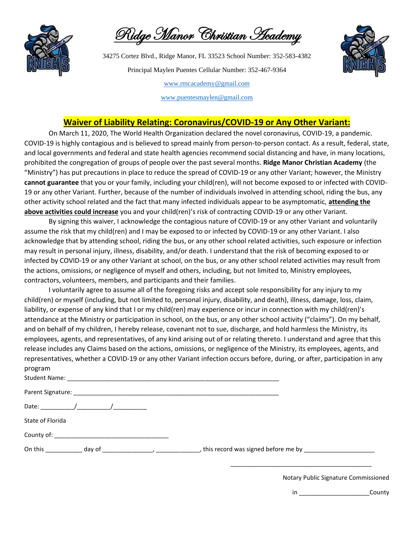

Ridge Manor Christian Academy

34275 Cortez Blvd., Ridge Manor, FL 33523 School Number: 352-583-4382 Principal Maylen Puentes Cellular Number: 352-467-9364



[www.rmcacademy@gmail.com](http://www.rmcacademy@gmail.com)

[www.puentesmaylen@gmail.com](http://www.puentesmaylen@gmail.com)

### **Waiver of Liability Relating: Coronavirus/COVID-19 or Any Other Variant:**

On March 11, 2020, The World Health Organization declared the novel coronavirus, COVID-19, a pandemic. COVID-19 is highly contagious and is believed to spread mainly from person-to-person contact. As a result, federal, state, and local governments and federal and state health agencies recommend social distancing and have, in many locations, prohibited the congregation of groups of people over the past several months. **Ridge Manor Christian Academy** (the "Ministry") has put precautions in place to reduce the spread of COVID-19 or any other Variant; however, the Ministry **cannot guarantee** that you or your family, including your child(ren), will not become exposed to or infected with COVID-19 or any other Variant. Further, because of the number of individuals involved in attending school, riding the bus, any other activity school related and the fact that many infected individuals appear to be asymptomatic, **attending the above activities could increase** you and your child(ren)'s risk of contracting COVID-19 or any other Variant.

By signing this waiver, I acknowledge the contagious nature of COVID-19 or any other Variant and voluntarily assume the risk that my child(ren) and I may be exposed to or infected by COVID-19 or any other Variant. I also acknowledge that by attending school, riding the bus, or any other school related activities, such exposure or infection may result in personal injury, illness, disability, and/or death. I understand that the risk of becoming exposed to or infected by COVID-19 or any other Variant at school, on the bus, or any other school related activities may result from the actions, omissions, or negligence of myself and others, including, but not limited to, Ministry employees, contractors, volunteers, members, and participants and their families.

I voluntarily agree to assume all of the foregoing risks and accept sole responsibility for any injury to my child(ren) or myself (including, but not limited to, personal injury, disability, and death), illness, damage, loss, claim, liability, or expense of any kind that I or my child(ren) may experience or incur in connection with my child(ren)'s attendance at the Ministry or participation in school, on the bus, or any other school activity ("claims"). On my behalf, and on behalf of my children, I hereby release, covenant not to sue, discharge, and hold harmless the Ministry, its employees, agents, and representatives, of any kind arising out of or relating thereto. I understand and agree that this release includes any Claims based on the actions, omissions, or negligence of the Ministry, its employees, agents, and representatives, whether a COVID-19 or any other Variant infection occurs before, during, or after, participation in any program

| State of Florida      |                                                                                                                |  |  |
|-----------------------|----------------------------------------------------------------------------------------------------------------|--|--|
|                       |                                                                                                                |  |  |
| On this $\frac{1}{2}$ | day of the contract of the contract of the contract of the contract of the contract of the contract of the con |  |  |

Notary Public Signature Commissioned

\_\_\_\_\_\_\_\_\_\_\_\_\_\_\_\_\_\_\_\_\_\_\_\_\_\_\_\_\_\_\_\_\_\_\_\_\_\_\_\_\_\_

in \_\_\_\_\_\_\_\_\_\_\_\_\_\_\_\_\_\_\_\_\_\_\_\_County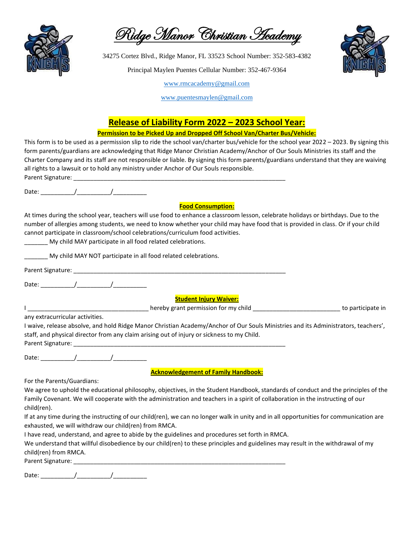

Ridge Manor Christian Academy

34275 Cortez Blvd., Ridge Manor, FL 33523 School Number: 352-583-4382

Principal Maylen Puentes Cellular Number: 352-467-9364



[www.rmcacademy@gmail.com](http://www.rmcacademy@gmail.com)

[www.puentesmaylen@gmail.com](http://www.puentesmaylen@gmail.com)

### **Release of Liability Form 2022 – 2023 School Year:**

#### **Permission to be Picked Up and Dropped Off School Van/Charter Bus/Vehicle:**

This form is to be used as a permission slip to ride the school van/charter bus/vehicle for the school year 2022 – 2023. By signing this form parents/guardians are acknowledging that Ridge Manor Christian Academy/Anchor of Our Souls Ministries its staff and the Charter Company and its staff are not responsible or liable. By signing this form parents/guardians understand that they are waiving all rights to a lawsuit or to hold any ministry under Anchor of Our Souls responsible. Parent Signature:

Date:  $\frac{1}{2}$  Date:  $\frac{1}{2}$   $\frac{1}{2}$   $\frac{1}{2}$   $\frac{1}{2}$   $\frac{1}{2}$   $\frac{1}{2}$   $\frac{1}{2}$   $\frac{1}{2}$   $\frac{1}{2}$   $\frac{1}{2}$   $\frac{1}{2}$   $\frac{1}{2}$   $\frac{1}{2}$   $\frac{1}{2}$   $\frac{1}{2}$   $\frac{1}{2}$   $\frac{1}{2}$   $\frac{1}{2}$   $\frac{1}{2}$   $\frac{1}{2}$ 

### **Food Consumption:**

At times during the school year, teachers will use food to enhance a classroom lesson, celebrate holidays or birthdays. Due to the number of allergies among students, we need to know whether your child may have food that is provided in class. Or if your child cannot participate in classroom/school celebrations/curriculum food activities.

My child MAY participate in all food related celebrations.

\_\_\_\_\_ My child MAY NOT participate in all food related celebrations.

Parent Signature: \_\_\_\_\_\_\_\_\_\_\_\_\_\_\_\_\_\_\_\_\_\_\_\_\_\_\_\_\_\_\_\_\_\_\_\_\_\_\_\_\_\_\_\_\_\_\_\_\_\_\_\_\_\_\_\_\_\_\_\_\_\_\_ Date:  $\frac{1}{2}$  Date:  $\frac{1}{2}$   $\frac{1}{2}$   $\frac{1}{2}$   $\frac{1}{2}$   $\frac{1}{2}$   $\frac{1}{2}$   $\frac{1}{2}$   $\frac{1}{2}$   $\frac{1}{2}$   $\frac{1}{2}$   $\frac{1}{2}$   $\frac{1}{2}$   $\frac{1}{2}$   $\frac{1}{2}$   $\frac{1}{2}$   $\frac{1}{2}$   $\frac{1}{2}$   $\frac{1}{2}$   $\frac{1}{2}$   $\frac{1}{2}$ **Student Injury Waiver:** I \_\_\_\_\_\_\_\_\_\_\_\_\_\_\_\_\_\_\_\_\_\_\_\_\_\_\_\_\_\_\_\_\_\_\_\_ hereby grant permission for my child \_\_\_\_\_\_\_\_\_\_\_\_\_\_\_\_\_\_\_\_\_\_\_\_\_\_ to participate in any extracurricular activities. I waive, release absolve, and hold Ridge Manor Christian Academy/Anchor of Our Souls Ministries and its Administrators, teachers', staff, and physical director from any claim arising out of injury or sickness to my Child.

Date: \_\_\_\_\_\_\_\_\_\_/\_\_\_\_\_\_\_\_\_\_/\_\_\_\_\_\_\_\_\_\_

Parent Signature: \_\_\_\_\_\_\_\_\_\_\_\_\_\_\_\_\_\_\_\_\_\_\_\_\_\_\_\_\_\_\_\_\_\_\_\_\_\_\_\_\_\_\_\_\_\_\_\_\_\_\_\_\_\_\_\_\_\_\_\_\_\_\_

**Acknowledgement of Family Handbook:**

For the Parents/Guardians:

We agree to uphold the educational philosophy, objectives, in the Student Handbook, standards of conduct and the principles of the Family Covenant. We will cooperate with the administration and teachers in a spirit of collaboration in the instructing of our child(ren).

If at any time during the instructing of our child(ren), we can no longer walk in unity and in all opportunities for communication are exhausted, we will withdraw our child(ren) from RMCA.

I have read, understand, and agree to abide by the guidelines and procedures set forth in RMCA.

We understand that willful disobedience by our child(ren) to these principles and guidelines may result in the withdrawal of my child(ren) from RMCA.

Parent Signature: \_\_\_\_\_\_\_\_\_\_\_\_\_\_\_\_\_\_\_\_\_\_\_\_\_\_\_\_\_\_\_\_\_\_\_\_\_\_\_\_\_\_\_\_\_\_\_\_\_\_\_\_\_\_\_\_\_\_\_\_\_\_\_

Date: \_\_\_\_\_\_\_\_\_\_/\_\_\_\_\_\_\_\_\_\_/\_\_\_\_\_\_\_\_\_\_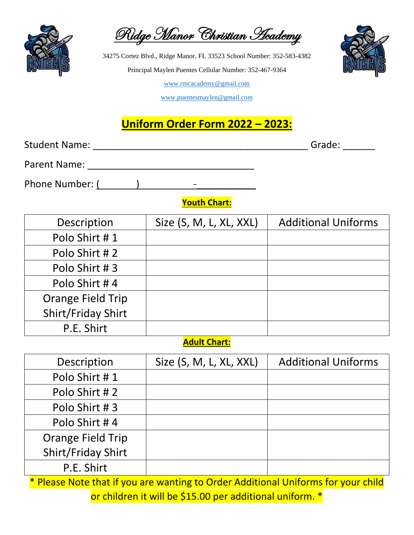

Polo Shirt # 4

Orange Field Trip

|  | Ridge Manor Christian Heademy |  |  |
|--|-------------------------------|--|--|
|--|-------------------------------|--|--|

34275 Cortez Blvd., Ridge Manor, FL 33523 School Number: 352-583-4382 Principal Maylen Puentes Cellular Number: 352-467-9364



[www.rmcacademy@gmail.com](http://www.rmcacademy@gmail.com)

[www.puentesmaylen@gmail.com](http://www.puentesmaylen@gmail.com)

## **Uniform Order Form 2022 – 2023:**

| <b>Student Name:</b>     | Grade: _______          |                            |  |  |  |
|--------------------------|-------------------------|----------------------------|--|--|--|
|                          |                         |                            |  |  |  |
| Phone Number: ( )        |                         |                            |  |  |  |
|                          | <b>Youth Chart:</b>     |                            |  |  |  |
| Description              | Size (S, M, L, XL, XXL) | <b>Additional Uniforms</b> |  |  |  |
| Polo Shirt #1            |                         |                            |  |  |  |
| Polo Shirt #2            |                         |                            |  |  |  |
| Polo Shirt #3            |                         |                            |  |  |  |
| Polo Shirt #4            |                         |                            |  |  |  |
| <b>Orange Field Trip</b> |                         |                            |  |  |  |
| Shirt/Friday Shirt       |                         |                            |  |  |  |
| P.E. Shirt               |                         |                            |  |  |  |
| <b>Adult Chart:</b>      |                         |                            |  |  |  |
| Description              | Size (S, M, L, XL, XXL) | <b>Additional Uniforms</b> |  |  |  |
| Polo Shirt #1            |                         |                            |  |  |  |
| Polo Shirt #2            |                         |                            |  |  |  |
| Polo Shirt #3            |                         |                            |  |  |  |

Shirt/Friday Shirt P.E. Shirt \* Please Note that if you are wanting to Order Additional Uniforms for your child or children it will be \$15.00 per additional uniform. \*